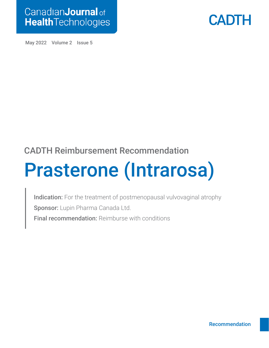



May 2022 Volume 2 Issue 5

### CADTH Reimbursement Recommendation

# Prasterone (Intrarosa)

Indication: For the treatment of postmenopausal vulvovaginal atrophy Sponsor: Lupin Pharma Canada Ltd. Final recommendation: Reimburse with conditions

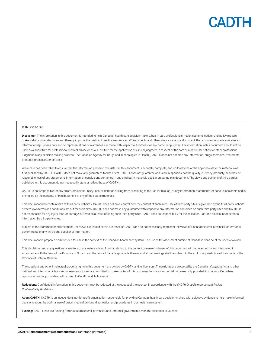

#### ISSN: 2563-6596

Disclaimer: The information in this document is intended to help Canadian health care decision-makers, health care professionals, health systems leaders, and policy-makers make well-informed decisions and thereby improve the quality of health care services. While patients and others may access this document, the document is made available for informational purposes only and no representations or warranties are made with respect to its fitness for any particular purpose. The information in this document should not be used as a substitute for professional medical advice or as a substitute for the application of clinical judgment in respect of the care of a particular patient or other professional judgment in any decision-making process. The Canadian Agency for Drugs and Technologies in Health (CADTH) does not endorse any information, drugs, therapies, treatments, products, processes, or services.

While care has been taken to ensure that the information prepared by CADTH in this document is accurate, complete, and up-to-date as at the applicable date the material was first published by CADTH, CADTH does not make any quarantees to that effect. CADTH does not quarantee and is not responsible for the quality, currency, propriety, accuracy, or reasonableness of any statements, information, or conclusions contained in any third-party materials used in preparing this document. The views and opinions of third parties published in this document do not necessarily state or reflect those of CADTH.

CADTH is not responsible for any errors, omissions, injury, loss, or damage arising from or relating to the use (or misuse) of any information, statements, or conclusions contained in or implied by the contents of this document or any of the source materials.

This document may contain links to third-party websites. CADTH does not have control over the content of such sites. Use of third-party sites is governed by the third-party website owners' own terms and conditions set out for such sites. CADTH does not make any guarantee with respect to any information contained on such third-party sites and CADTH is not responsible for any injury, loss, or damage suffered as a result of using such third-party sites. CADTH has no responsibility for the collection, use, and disclosure of personal information by third-party sites.

Subject to the aforementioned limitations, the views expressed herein are those of CADTH and do not necessarily represent the views of Canada's federal, provincial, or territorial governments or any third-party supplier of information.

This document is prepared and intended for use in the context of the Canadian health care system. The use of this document outside of Canada is done so at the user's own risk.

This disclaimer and any questions or matters of any nature arising from or relating to the content or use (or misuse) of this document will be governed by and interpreted in accordance with the laws of the Province of Ontario and the laws of Canada applicable therein, and all proceedings shall be subject to the exclusive jurisdiction of the courts of the Province of Ontario, Canada.

The copyright and other intellectual property rights in this document are owned by CADTH and its licensors. These rights are protected by the Canadian *Copyright Act* and other national and international laws and agreements. Users are permitted to make copies of this document for non-commercial purposes only, provided it is not modified when reproduced and appropriate credit is given to CADTH and its licensors.

Redactions: Confidential information in this document may be redacted at the request of the sponsor in accordance with the *CADTH Drug Reimbursement Review Confidentiality Guidelines.*

About CADTH: CADTH is an independent, not-for-profit organization responsible for providing Canada's health care decision-makers with objective evidence to help make informed decisions about the optimal use of drugs, medical devices, diagnostics, and procedures in our health care system.

Funding: CADTH receives funding from Canada's federal, provincial, and territorial governments, with the exception of Quebec.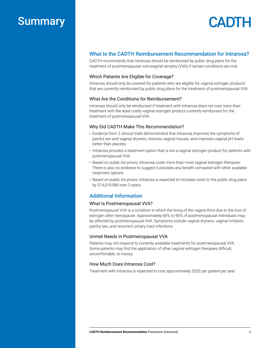### Summary

## CADTH

#### What Is the CADTH Reimbursement Recommendation for Intrarosa?

CADTH recommends that Intrarosa should be reimbursed by public drug plans for the treatment of postmenopausal vulvovaginal atrophy (VVA) if certain conditions are met.

#### Which Patients Are Eligible for Coverage?

Intrarosa should only be covered for patients who are eligible for vaginal estrogen products that are currently reimbursed by public drug plans for the treatment of postmenopausal VVA.

#### What Are the Conditions for Reimbursement?

Intrarosa should only be reimbursed if treatment with Intrarosa does not cost more than treatment with the least costly vaginal estrogen product currently reimbursed for the treatment of postmenopausal VVA.

#### Why Did CADTH Make This Recommendation?

- Evidence from 2 clinical trials demonstrated that Intrarosa improves the symptoms of painful sex and vaginal dryness, restores vaginal tissues, and improves vaginal pH levels better than placebo.
- Intrarosa provides a treatment option that is not a vaginal estrogen product for patients with postmenopausal VVA.
- Based on public list prices, Intrarosa costs more than most vaginal estrogen therapies. There is also no evidence to suggest it provides any benefit compared with other available treatment options.
- Based on public list prices, Intrarosa is expected to increase costs to the public drug plans by \$14,019,986 over 3 years.

#### Additional Information

#### What Is Postmenopausal VVA?

Postmenopausal VVA is a condition in which the lining of the vagina thins due to the loss of estrogen after menopause. Approximately 60% to 90% of postmenopausal individuals may be affected by postmenopausal VVA. Symptoms include vaginal dryness, vaginal irritation, painful sex, and recurrent urinary tract infections.

#### Unmet Needs in Postmenopausal VVA

Patients may not respond to currently available treatments for postmenopausal VVA. Some patients may find the application of other vaginal estrogen therapies difficult, uncomfortable, or messy.

#### How Much Does Intrarosa Cost?

Treatment with Intrarosa is expected to cost approximately \$532 per patient per year.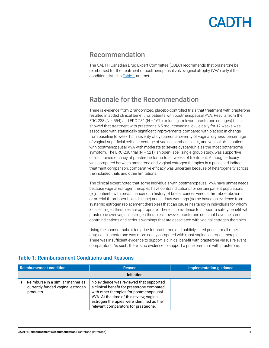### <span id="page-3-0"></span>Recommendation

The CADTH Canadian Drug Expert Committee (CDEC) recommends that prasterone be reimbursed for the treatment of postmenopausal vulvovaginal atrophy (VVA) only if the conditions listed in [Table 1](#page-3-1) are met.

### Rationale for the Recommendation

There is evidence from 2 randomized, placebo-controlled trials that treatment with prasterone resulted in added clinical benefit for patients with postmenopausal VVA. Results from the ERC-238 (N = 554) and ERC-231 (N = 167, excluding irrelevant prasterone dosages) trials showed that treatment with prasterone 6.5 mg intravaginal ovule daily for 12 weeks was associated with statistically significant improvements compared with placebo in change from baseline to week 12 in severity of dyspareunia, severity of vaginal dryness, percentage of vaginal superficial cells, percentage of vaginal parabasal cells, and vaginal pH in patients with postmenopausal VVA with moderate to severe dyspareunia as the most bothersome symptom. The ERC-230 trial (N = 521), an open-label, single-group study, was supportive of maintained efficacy of prasterone for up to 52 weeks of treatment. Although efficacy was compared between prasterone and vaginal estrogen therapies in a published indirect treatment comparison, comparative efficacy was uncertain because of heterogeneity across the included trials and other limitations.

The clinical expert noted that some individuals with postmenopausal VVA have unmet needs because vaginal estrogen therapies have contraindications for certain patient populations (e.g., patients with breast cancer or a history of breast cancer, venous thromboembolism, or arterial thromboembolic disease) and serious warnings (some based on evidence from systemic estrogen replacement therapies) that can cause hesitancy in individuals for whom local estrogen therapies are appropriate. There is no evidence to support a safety benefit with prasterone over vaginal estrogen therapies; however, prasterone does not have the same contraindications and serious warnings that are associated with vaginal estrogen therapies.

Using the sponsor-submitted price for prasterone and publicly listed prices for all other drug costs, prasterone was more costly compared with most vaginal estrogen therapies. There was insufficient evidence to support a clinical benefit with prasterone versus relevant comparators. As such, there is no evidence to support a price premium with prasterone.

| Reimbursement condition                                                            | Reason                                                                                                                                                                                                                                                            | Implementation quidance |
|------------------------------------------------------------------------------------|-------------------------------------------------------------------------------------------------------------------------------------------------------------------------------------------------------------------------------------------------------------------|-------------------------|
|                                                                                    | Initiation                                                                                                                                                                                                                                                        |                         |
| Reimburse in a similar manner as<br>currently funded vaginal estrogen<br>products. | No evidence was reviewed that supported<br>a clinical benefit for prasterone compared<br>with other therapies for postmenopausal<br>VVA. At the time of this review, vaginal<br>estrogen therapies were identified as the<br>relevant comparators for prasterone. |                         |

#### <span id="page-3-1"></span>Table 1: Reimbursement Conditions and Reasons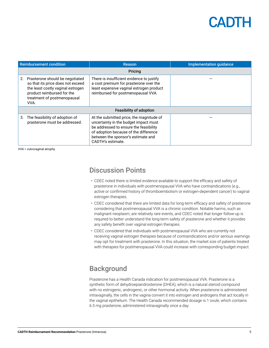| <b>Reimbursement condition</b> |                                                                                                                                                                                | <b>Reason</b>                                                                                                                                                                                                                   | <b>Implementation quidance</b> |  |  |
|--------------------------------|--------------------------------------------------------------------------------------------------------------------------------------------------------------------------------|---------------------------------------------------------------------------------------------------------------------------------------------------------------------------------------------------------------------------------|--------------------------------|--|--|
|                                | Pricing                                                                                                                                                                        |                                                                                                                                                                                                                                 |                                |  |  |
| 2.                             | Prasterone should be negotiated<br>so that its price does not exceed<br>the least costly vaginal estrogen<br>product reimbursed for the<br>treatment of postmenopausal<br>VVA. | There is insufficient evidence to justify<br>a cost premium for prasterone over the<br>least expensive vaginal estrogen product<br>reimbursed for postmenopausal VVA.                                                           |                                |  |  |
| <b>Feasibility of adoption</b> |                                                                                                                                                                                |                                                                                                                                                                                                                                 |                                |  |  |
| 3.                             | The feasibility of adoption of<br>prasterone must be addressed.                                                                                                                | At the submitted price, the magnitude of<br>uncertainty in the budget impact must<br>be addressed to ensure the feasibility<br>of adoption because of the difference<br>between the sponsor's estimate and<br>CADTH's estimate. |                                |  |  |

VVA = vulvovaginal atrophy.

### Discussion Points

- CDEC noted there is limited evidence available to support the efficacy and safety of prasterone in individuals with postmenopausal VVA who have contraindications (e.g., active or confirmed history of thromboembolism or estrogen-dependent cancer) to vaginal estrogen therapies.
- CDEC considered that there are limited data for long-term efficacy and safety of prasterone considering that postmenopausal VVA is a chronic condition. Notable harms, such as malignant neoplasm, are relatively rare events, and CDEC noted that longer follow-up is required to better understand the long-term safety of prasterone and whether it provides any safety benefit over vaginal estrogen therapies.
- CDEC considered that individuals with postmenopausal VVA who are currently not receiving vaginal estrogen therapies because of contraindications and/or serious warnings may opt for treatment with prasterone. In this situation, the market size of patients treated with therapies for postmenopausal VVA could increase with corresponding budget impact.

### **Background**

Prasterone has a Health Canada indication for postmenopausal VVA. Prasterone is a synthetic form of dehydroepiandrosterone (DHEA), which is a natural steroid compound with no estrogenic, androgenic, or other hormonal activity. When prasterone is administered intravaginally, the cells in the vagina convert it into estrogen and androgens that act locally in the vaginal epithelium. The Health Canada recommended dosage is 1 ovule, which contains 6.5 mg prasterone, administered intravaginally once a day.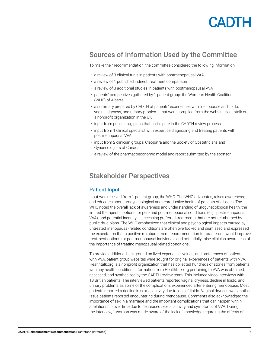

### Sources of Information Used by the Committee

To make their recommendation, the committee considered the following information:

- a review of 3 clinical trials in patients with postmenopausal VAA
- a review of 1 published indirect treatment comparison
- a review of 3 additional studies in patients with postmenopausal VVA
- patients' perspectives gathered by 1 patient group: the Women's Health Coalition (WHC) of Alberta
- a summary prepared by CADTH of patients' experiences with menopause and libido, vaginal dryness, and urinary problems that were compiled from the website Healthtalk.org, a nonprofit organization in the UK
- input from public drug plans that participate in the CADTH review process
- input from 1 clinical specialist with expertise diagnosing and treating patients with postmenopausal VVA
- input from 2 clinician groups: Cleopatra and the Society of Obstetricians and Gynaecologists of Canada
- a review of the pharmacoeconomic model and report submitted by the sponsor.

### Stakeholder Perspectives

#### Patient Input

Input was received from 1 patient group, the WHC. The WHC advocates, raises awareness, and educates about urogynecological and reproductive health of patients of all ages. The WHC noted the overall lack of awareness and understanding of urogynecological health, the limited therapeutic options for peri- and postmenopausal conditions (e.g., postmenopausal VVA), and potential inequity in accessing preferred treatments that are not reimbursed by public drug plans. The WHC emphasized that clinical and psychological impacts caused by untreated menopausal-related conditions are often overlooked and dismissed and expressed the expectation that a positive reimbursement recommendation for prasterone would improve treatment options for postmenopausal individuals and potentially raise clinician awareness of the importance of treating menopausal-related conditions.

To provide additional background on lived experience, values, and preferences of patients with VVA, patient group websites were sought for original experiences of patients with VVA. Healthtalk.org is a nonprofit organization that has collected hundreds of stories from patients with any health condition. Information from Healthtalk.org pertaining to VVA was obtained, assessed, and synthesized by the CADTH review team. This included video interviews with 13 British patients. The interviewed patients reported vaginal dryness, decline in libido, and urinary problems as some of the complications experienced after entering menopause. Most patients reported a decline in sexual activity due to loss of libido. Vaginal dryness was another issue patients reported encountering during menopause. Comments also acknowledged the importance of sex in a marriage and the important complications that can happen within a relationship over time due to decreased sexual activity and symptoms of VVA. During the interview, 1 woman was made aware of the lack of knowledge regarding the effects of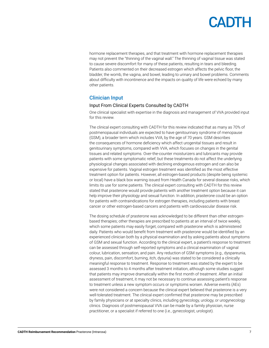hormone replacement therapies, and that treatment with hormone replacement therapies may not prevent the "thinning of the vaginal wall." The thinning of vaginal tissue was stated to cause severe discomfort for many of these patients, resulting in tears and bleeding. Patients also commented on their decreased estrogen which affects the pelvic floor, the bladder, the womb, the vagina, and bowel, leading to urinary and bowel problems. Comments about difficulty with incontinence and the impacts on quality of life were echoed by many other patients.

#### Clinician Input

#### Input From Clinical Experts Consulted by CADTH

One clinical specialist with expertise in the diagnosis and management of VVA provided input for this review.

The clinical expert consulting with CADTH for this review indicated that as many as 70% of postmenopausal individuals are expected to have genitourinary syndrome of menopause (GSM), a broader term which includes VVA, by the age of 70 years. GSM describes the consequences of hormone deficiency which affect urogenital tissues and result in genitourinary symptoms, compared with VVA, which focuses on changes in the genital tissues and related symptoms. Over-the-counter moisturizers and lubricants may provide patients with some symptomatic relief, but these treatments do not affect the underlying physiological changes associated with declining endogenous estrogen and can also be expensive for patients. Vaginal estrogen treatment was identified as the most effective treatment option for patients. However, all estrogen-based products (despite being systemic or local) have a black box warning issued from Health Canada for several disease risks, which limits its use for some patients. The clinical expert consulting with CADTH for this review stated that prasterone would provide patients with another treatment option because it can help improve their physiology and sexual function. In addition, prasterone could be an option for patients with contraindications for estrogen therapies, including patients with breast cancer or other estrogen-based cancers and patients with cardiovascular disease risk.

The dosing schedule of prasterone was acknowledged to be different than other estrogenbased therapies; other therapies are prescribed to patients at an interval of twice weekly, which some patients may easily forget, compared with prasterone which is administered daily. Patients who would benefit from treatment with prasterone would be identified by an experienced clinician both by a physical examination and by asking patients about symptoms of GSM and sexual function. According to the clinical expert, a patient's response to treatment can be assessed through self-reported symptoms and a clinical examination of vaginal colour, lubrication, sensation, and pain. Any reduction of GSM symptoms (e.g., dyspareunia, dryness, pain, discomfort, burning, itch, dysuria) was stated to be considered a clinically meaningful response to treatment. Response to treatment was stated by the expert to be assessed 3 months to 4 months after treatment initiation, although some studies suggest that patients may improve dramatically within the first month of treatment. After an initial assessment of treatment, it may not be necessary to continue assessing patient's response to treatment unless a new symptom occurs or symptoms worsen. Adverse events (AEs) were not considered a concern because the clinical expert believed that prasterone is a very well-tolerated treatment. The clinical expert confirmed that prasterone may be prescribed by family physicians or at specialty clinics, including gynecology, urology, or urogynecology clinics. Diagnosis of postmenopausal VVA can be made by a family physician, nurse practitioner, or a specialist if referred to one (i.e., gynecologist, urologist).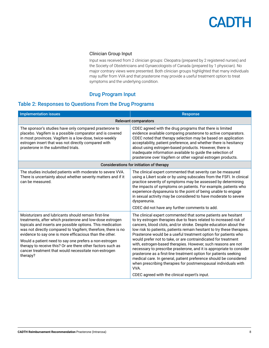#### Clinician Group Input

Input was received from 2 clinician groups: Cleopatra (prepared by 2 registered nurses) and the Society of Obstetricians and Gynaecologists of Canada (prepared by 1 physician). No major contrary views were presented. Both clinician groups highlighted that many individuals may suffer from VVA and that prasterone may provide a useful treatment option to treat symptoms and the underlying condition.

#### Drug Program Input

#### Table 2: Responses to Questions From the Drug Programs

| <b>Implementation issues</b>                                                                                                                                                                                                                                                                                                                                                                                                                                                                           | <b>Response</b>                                                                                                                                                                                                                                                                                                                                                                                                                                                                                                                                                                                                                                                                                                                                                                                                                     |  |  |
|--------------------------------------------------------------------------------------------------------------------------------------------------------------------------------------------------------------------------------------------------------------------------------------------------------------------------------------------------------------------------------------------------------------------------------------------------------------------------------------------------------|-------------------------------------------------------------------------------------------------------------------------------------------------------------------------------------------------------------------------------------------------------------------------------------------------------------------------------------------------------------------------------------------------------------------------------------------------------------------------------------------------------------------------------------------------------------------------------------------------------------------------------------------------------------------------------------------------------------------------------------------------------------------------------------------------------------------------------------|--|--|
| <b>Relevant comparators</b>                                                                                                                                                                                                                                                                                                                                                                                                                                                                            |                                                                                                                                                                                                                                                                                                                                                                                                                                                                                                                                                                                                                                                                                                                                                                                                                                     |  |  |
| The sponsor's studies have only compared prasterone to<br>placebo. Vagifem is a possible comparator and is covered<br>in most provinces. Vagifem is a low-dose, twice-weekly<br>estrogen insert that was not directly compared with<br>prasterone in the submitted trials.                                                                                                                                                                                                                             | CDEC agreed with the drug programs that there is limited<br>evidence available comparing prasterone to active comparators.<br>CDEC noted that therapy selection may be based on application<br>acceptability, patient preference, and whether there is hesitancy<br>about using estrogen-based products. However, there is<br>inadequate information available to guide the selection of<br>prasterone over Vagifem or other vaginal estrogen products.                                                                                                                                                                                                                                                                                                                                                                             |  |  |
| Considerations for initiation of therapy                                                                                                                                                                                                                                                                                                                                                                                                                                                               |                                                                                                                                                                                                                                                                                                                                                                                                                                                                                                                                                                                                                                                                                                                                                                                                                                     |  |  |
| The studies included patients with moderate to severe VVA.<br>There is uncertainty about whether severity matters and if it<br>can be measured.                                                                                                                                                                                                                                                                                                                                                        | The clinical expert commented that severity can be measured<br>using a Likert scale or by using subscales from the FSFI. In clinical<br>practice severity of symptoms may be assessed by determining<br>the impacts of symptoms on patients. For example, patients who<br>experience dyspareunia to the point of being unable to engage<br>in sexual activity may be considered to have moderate to severe<br>dyspareunia.<br>CDEC did not have any further comments to add.                                                                                                                                                                                                                                                                                                                                                        |  |  |
| Moisturizers and lubricants should remain first-line<br>treatments, after which prasterone and low-dose estrogen<br>topicals and inserts are possible options. This medication<br>was not directly compared to Vagifem; therefore, there is no<br>evidence to say one is more efficacious than the other.<br>Would a patient need to say one prefers a non-estrogen<br>therapy to receive this? Or are there other factors such as<br>cancer treatment that would necessitate non-estrogen<br>therapy? | The clinical expert commented that some patients are hesitant<br>to try estrogen therapies due to fears related to increased risk of<br>cancers, blood clots, and/or stroke. Despite education about the<br>low risk to patients, patients remain hesitant to try these therapies.<br>Prasterone would be a useful treatment option for patients who<br>would prefer not to take, or are contraindicated for treatment<br>with, estrogen-based therapies. However, such reasons are not<br>necessary to prescribe prasterone, and it is appropriate to consider<br>prasterone as a first-line treatment option for patients seeking<br>medical care. In general, patient preference should be considered<br>when prescribing therapies for postmenopausal individuals with<br>VVA.<br>CDEC agreed with the clinical expert's input. |  |  |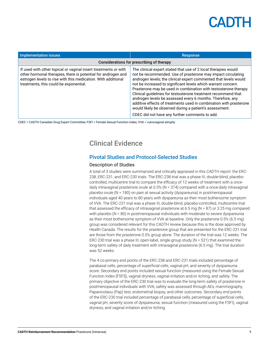| Implementation issues                                                                                                                                                                                                                       | <b>Response</b>                                                                                                                                                                                                                                                                                                                                                                                                                                                                                                                                                                                                                                           |  |
|---------------------------------------------------------------------------------------------------------------------------------------------------------------------------------------------------------------------------------------------|-----------------------------------------------------------------------------------------------------------------------------------------------------------------------------------------------------------------------------------------------------------------------------------------------------------------------------------------------------------------------------------------------------------------------------------------------------------------------------------------------------------------------------------------------------------------------------------------------------------------------------------------------------------|--|
| Considerations for prescribing of therapy                                                                                                                                                                                                   |                                                                                                                                                                                                                                                                                                                                                                                                                                                                                                                                                                                                                                                           |  |
| If used with other topical or vaginal insert treatments or with<br>other hormonal therapies, there is potential for androgen and<br>estrogen levels to rise with this medication. With additional<br>treatments, this could be exponential. | The clinical expert stated that use of 2 local therapies would<br>not be recommended. Use of prasterone may impact circulating<br>androgen levels; the clinical expert commented that levels would<br>not be increased to significant levels which warrant concern.<br>Prasterone may be used in combination with testosterone therapy.<br>Clinical guidelines for testosterone treatment recommend that<br>androgen levels be assessed every 6 months. Therefore, any<br>additive effects of treatments used in combination with prasterone<br>would likely be observed during a patient's assessment.<br>CDEC did not have any further comments to add. |  |

CDEC = CADTH Canadian Drug Expert Committee; FSFI = Female Sexual Function Index; VVA = vulvovaginal atrophy.

### Clinical Evidence

#### Pivotal Studies and Protocol-Selected Studies

#### Description of Studies

A total of 3 studies were summarized and critically appraised in this CADTH report: the ERC-238, ERC-231, and ERC-230 trials. The ERC-238 trial was a phase III, double-blind, placebocontrolled, multicentre trial to compare the efficacy of 12 weeks of treatment with a oncedaily intravaginal prasterone ovule at 0.5% (N = 374) compared with a once-daily intravaginal placebo ovule (N = 180) on pain at sexual activity (dyspareunia) in postmenopausal individuals aged 40 years to 80 years with dyspareunia as their most bothersome symptom of VVA. The ERC-231 trial was a phase III, double-blind, placebo-controlled, multicentre trial that assessed the efficacy of intravaginal prasterone at 6.5 mg  $(N = 87)$  or 3.25 mg compared with placebo ( $N = 80$ ) in postmenopausal individuals with moderate to severe dyspareunia as their most bothersome symptom of VVA at baseline. Only the prasterone 0.5% (6.5 mg) group was considered relevant for this CADTH review because this is the dose approved by Health Canada. The results for the prasterone group that are presented for the ERC-231 trial are those from the prasterone 0.5% group alone. The duration of the trial was 12 weeks. The ERC-230 trial was a phase III, open-label, single-group study (N = 521) that examined the long-term safety of daily treatment with intravaginal prasterone (6.5 mg). The trial duration was 52 weeks.

The 4 co-primary end points of the ERC-238 and ERC-231 trials included percentage of parabasal cells, percentage of superficial cells, vaginal pH, and severity of dyspareunia score. Secondary end points included sexual function (measured using the Female Sexual Function Index [FSFI]), vaginal dryness, vaginal irritation and/or itching, and safety. The primary objective of the ERC-230 trial was to evaluate the long-term safety of prasterone in postmenopausal individuals with VVA; safety was assessed through AEs, mammography, Papanicolaou (Pap) test, endometrial biopsy, and other outcomes. Secondary end points of the ERC-230 trial included percentage of parabasal cells, percentage of superficial cells, vaginal pH, severity score of dyspareunia, sexual function (measured using the FSFI), vaginal dryness, and vaginal irritation and/or itching.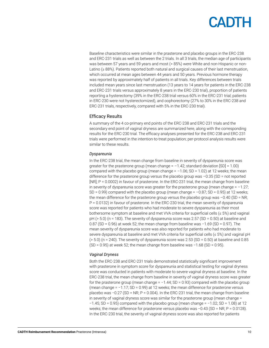Baseline characteristics were similar in the prasterone and placebo groups in the ERC-238 and ERC-231 trials as well as between the 2 trials. In all 3 trials, the median age of participants was between 57 years and 59 years and most (> 85%) were White and non-Hispanic or non-Latino (≥ 88%). Patients reported both natural and surgical causes of their last menstruation, which occurred at mean ages between 44 years and 50 years. Previous hormone therapy was reported by approximately half of patients in all trials. Key differences between trials included mean years since last menstruation (13 years to 14 years for patients in the ERC-238 and ERC-231 trials versus approximately 8 years in the ERC-230 trial), proportion of patients reporting a hysterectomy (39% in the ERC-238 trial versus 60% in the ERC-231 trial; patients in ERC-230 were not hysterectomized), and oophorectomy (27% to 30% in the ERC-238 and ERC-231 trials, respectively, compared with 5% in the ERC-230 trial).

#### Efficacy Results

A summary of the 4 co-primary end points of the ERC-238 and ERC-231 trials and the secondary end point of vaginal dryness are summarized here, along with the corresponding results for the ERC-230 trial. The efficacy analyses presented for the ERC-238 and ERC-231 trials were performed in the intention-to-treat population; per-protocol analysis results were similar to these results.

#### *Dyspareunia*

In the ERC-238 trial, the mean change from baseline in severity of dyspareunia score was greater for the prasterone group (mean change  $= -1.42$ ; standard deviation  $[SD] = 1.00$ ) compared with the placebo group (mean change =  $-1.06$ ; SD = 1.02) at 12 weeks; the mean difference for the prasterone group versus the placebo group was –0.35 (SD = not reported [NR]; P = 0.0002) in favour of prasterone. In the ERC-231 trial, the mean change from baseline in severity of dyspareunia score was greater for the prasterone group (mean change  $= -1.27$ ; SD = 0.99) compared with the placebo group (mean change =  $-0.87$ ; SD = 0.95) at 12 weeks; the mean difference for the prasterone group versus the placebo group was  $-0.40$  (SD = NR; P = 0.0132) in favour of prasterone. In the ERC-230 trial, the mean severity of dyspareunia score was reported for patients who had moderate to severe dyspareunia as their most bothersome symptom at baseline and met VVA criteria for superficial cells (≤ 5%) and vaginal pH (> 5.0) (n = 183). The severity of dyspareunia score was 2.57 (SD = 0.50) at baseline and 0.87 (SD = 0.96) at week 52; the mean change from baseline was −1.69 (SD = 0.97). The mean severity of dyspareunia score was also reported for patients who had moderate to severe dyspareunia at baseline and met VVA criteria for superficial cells (≤ 5%) and vaginal pH  $(5.0)$  (n = 240). The severity of dyspareunia score was 2.53 (SD = 0.50) at baseline and 0.85 (SD = 0.95) at week 52; the mean change from baseline was −1.68 (SD = 0.95).

#### *Vaginal Dryness*

Both the ERC-238 and ERC-231 trials demonstrated statistically significant improvement with prasterone in symptom score for dyspareunia and statistical testing for vaginal dryness score was conducted in patients with moderate to severe vaginal dryness at baseline. In the ERC-238 trial, the mean change from baseline in severity of vaginal dryness score was greater for the prasterone group (mean change = −1.44; SD = 0.93) compared with the placebo group (mean change = −1.17; SD = 0.99) at 12 weeks; the mean difference for prasterone versus placebo was −0.27 (SD = NR; P = 0.004). In the ERC-231 trial, the mean change from baseline in severity of vaginal dryness score was similar for the prasterone group (mean change = −1.45; SD = 0.95) compared with the placebo group (mean change = −1.02; SD = 1.08) at 12 weeks; the mean difference for prasterone versus placebo was −0.43 (SD = NR; P = 0.0128). In the ERC-230 trial, the severity of vaginal dryness score was also reported for patients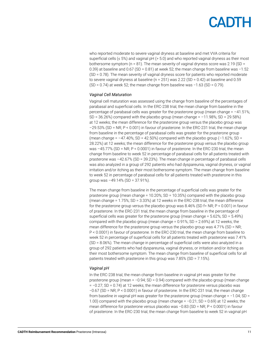who reported moderate to severe vaginal dryness at baseline and met VVA criteria for superficial cells ( $\leq 5\%$ ) and vaginal pH ( $> 5.0$ ) and who reported vaginal dryness as their most bothersome symptom ( $n = 81$ ). The mean severity of vaginal dryness score was 2.19 (SD = 0.39) at baseline and 0.67 (SD = 0.81) at week 52; the mean change from baseline was −1.52 (SD = 0.78). The mean severity of vaginal dryness score for patients who reported moderate to severe vaginal dryness at baseline (n = 251) was 2.22 (SD = 0.42) at baseline and 0.59  $(SD = 0.74)$  at week 52; the mean change from baseline was -1.63 (SD = 0.79).

#### *Vaginal Cell Maturation*

Vaginal cell maturation was assessed using the change from baseline of the percentages of parabasal and superficial cells. In the ERC-238 trial, the mean change from baseline in the percentage of parabasal cells was greater for the prasterone group (mean change  $= -41.51\%$ ;  $SD = 36.26\%$ ) compared with the placebo group (mean change =  $-11.98\%$ ;  $SD = 29.58\%$ ) at 12 weeks; the mean difference for the prasterone group versus the placebo group was –29.53% (SD = NR; P < 0.001) in favour of prasterone. In the ERC-231 trial, the mean change from baseline in the percentage of parabasal cells was greater for the prasterone group (mean change =  $-47.40\%$ ; SD = 42.50%) compared with the placebo group ( $-1.62\%$ ; SD = 28.22%) at 12 weeks; the mean difference for the prasterone group versus the placebo group was  $-45.77\%$  (SD = NR; P < 0.0001) in favour of prasterone. In the ERC-230 trial, the mean change from baseline to week 52 in percentage of parabasal cells for all patients treated with prasterone was –42.67% (SD = 39.23%). The mean change in percentage of parabasal cells was also analyzed in a group of 292 patients who had dyspareunia, vaginal dryness, or vaginal irritation and/or itching as their most bothersome symptom. The mean change from baseline to week 52 in percentage of parabasal cells for all patients treated with prasterone in this group was  $-49.14\%$  (SD = 37.91%).

The mean change from baseline in the percentage of superficial cells was greater for the prasterone group (mean change = 10.20%; SD = 10.35%) compared with the placebo group (mean change = 1.75%; SD = 3.33%) at 12 weeks in the ERC-238 trial; the mean difference for the prasterone group versus the placebo group was  $8.46\%$  (SD f= NR; P < 0.001) in favour of prasterone. In the ERC-231 trial, the mean change from baseline in the percentage of superficial cells was greater for the prasterone group (mean change =  $5.62\%$ ; SD =  $5.49\%$ ) compared with the placebo group (mean change = 0.91%; SD = 2.69%) at 12 weeks; the mean difference for the prasterone group versus the placebo group was 4.71% (SD = NR; P < 0.0001) in favour of prasterone. In the ERC-230 trial, the mean change from baseline to week 52 in percentage of superficial cells for all patients treated with prasterone was 7.41% (SD = 8.06%). The mean change in percentage of superficial cells were also analyzed in a group of 292 patients who had dyspareunia, vaginal dryness, or irritation and/or itching as their most bothersome symptom. The mean change from baseline of superficial cells for all patients treated with prasterone in this group was 7.85% (SD = 7.15%).

#### *Vaginal pH*

In the ERC-238 trial, the mean change from baseline in vaginal pH was greater for the prasterone group (mean = −0.94; SD = 0.94) compared with the placebo group (mean change = −0.27; SD = 0.74) at 12 weeks; the mean difference for prasterone versus placebo was −0.67 (SD = NR; P < 0.0001) in favour of prasterone. In the ERC-231 trial, the mean change from baseline in vaginal pH was greater for the prasterone group (mean change = −1.04; SD = 1.00) compared with the placebo group (mean change = −0.21; SD = 0.69) at 12 weeks; the mean difference for prasterone versus placebo was −0.83 (SD = NR; P < 0.0001) in favour of prasterone. In the ERC-230 trial, the mean change from baseline to week 52 in vaginal pH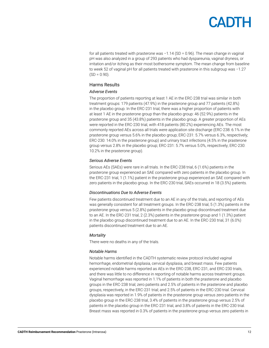for all patients treated with prasterone was −1.14 (SD = 0.96). The mean change in vaginal pH was also analyzed in a group of 293 patients who had dyspareunia, vaginal dryness, or irritation and/or itching as their most bothersome symptom. The mean change from baseline to week 52 of vaginal pH for all patients treated with prasterone in this subgroup was −1.27  $(SD = 0.90)$ .

#### Harms Results

#### *Adverse Events*

The proportion of patients reporting at least 1 AE in the ERC-238 trial was similar in both treatment groups: 179 patients (47.9%) in the prasterone group and 77 patients (42.8%) in the placebo group. In the ERC-231 trial, there was a higher proportion of patients with at least 1 AE in the prasterone group than the placebo group: 46 (52.9%) patients in the prasterone group and 35 (43.8%) patients in the placebo group. A greater proportion of AEs were reported in the ERC-230 trial, with 418 patients (80.2%) experiencing AEs. The most commonly reported AEs across all trials were application site discharge (ERC-238: 6.1% in the prasterone group versus 5.6% in the placebo group; ERC-231: 5.7% versus 6.3%, respectively; ERC-230: 14.0% in the prasterone group) and urinary tract infections (4.5% in the prasterone group versus 2.8% in the placebo group; ERC-231: 5.7% versus 5.0%, respectively; ERC-230: 10.2% in the prasterone group).

#### *Serious Adverse Events*

Serious AEs (SAEs) were rare in all trials. In the ERC-238 trial, 6 (1.6%) patients in the prasterone group experienced an SAE compared with zero patients in the placebo group. In the ERC-231 trial, 1 (1.1%) patient in the prasterone group experienced an SAE compared with zero patients in the placebo group. In the ERC-230 trial, SAEs occurred in 18 (3.5%) patients.

#### *Discontinuations Due to Adverse Events*

Few patients discontinued treatment due to an AE in any of the trials, and reporting of AEs was generally consistent for all treatment groups. In the ERC-238 trial, 5 (1.3%) patients in the prasterone group versus 5 (2.8%) patients in the placebo group discontinued treatment due to an AE. In the ERC-231 trial, 2 (2.3%) patients in the prasterone group and 1 (1.3%) patient in the placebo group discontinued treatment due to an AE. In the ERC-230 trial, 31 (6.0%) patients discontinued treatment due to an AE.

#### *Mortality*

There were no deaths in any of the trials.

#### *Notable Harms*

Notable harms identified in the CADTH systematic review protocol included vaginal hemorrhage, endometrial dysplasia, cervical dysplasia, and breast mass. Few patients experienced notable harms reported as AEs in the ERC-238, ERC-231, and ERC-230 trials, and there was little to no difference in reporting of notable harms across treatment groups. Vaginal hemorrhage was reported in 1.1% of patients in both the prasterone and placebo groups in the ERC-238 trial; zero patients and 2.5% of patients in the prasterone and placebo groups, respectively, in the ERC-231 trial; and 2.5% of patients in the ERC-230 trial. Cervical dysplasia was reported in 1.9% of patients in the prasterone group versus zero patients in the placebo group in the ERC-238 trial, 3.4% of patients in the prasterone group versus 2.5% of patients in the placebo group in the ERC-231 trial, and 3.8% of patients in the ERC-230 trial. Breast mass was reported in 0.3% of patients in the prasterone group versus zero patients in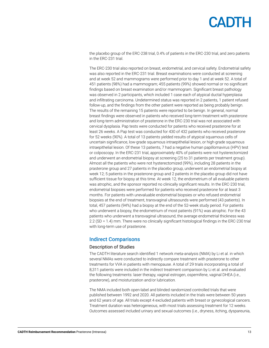the placebo group of the ERC-238 trial, 0.4% of patients in the ERC-230 trial, and zero patients in the ERC-231 trial.

The ERC-230 trial also reported on breast, endometrial, and cervical safety. Endometrial safety was also reported in the ERC-231 trial. Breast examinations were conducted at screening and at week 52 and mammograms were performed prior to day 1 and at week 52. A total of 451 patients (98%) had a mammogram; 455 patients (99%) showed normal or no significant findings based on breast examination and/or mammogram. Significant breast pathology was observed in 2 participants, which included 1 case each of atypical ductal hyperplasia and infiltrating carcinoma. Undetermined status was reported in 2 patients, 1 patient refused follow-up, and the findings from the other patient were reported as being probably benign. The results of the remaining 15 patients were reported to be benign. In general, normal breast findings were observed in patients who received long-term treatment with prasterone and long-term administration of prasterone in the ERC-230 trial was not associated with cervical dysplasia. Pap tests were conducted for patients who received prasterone for at least 26 weeks. A Pap test was conducted for 430 of 432 patients who received prasterone for 52 weeks (90%). A total of 13 patients yielded results of atypical squamous cells of uncertain significance, low-grade squamous intraepithelial lesion, or high-grade squamous intraepithelial lesion. Of these 13 patients, 7 had a negative human papillomavirus (HPV) test or colposcopy. In the ERC-231 trial, approximately 40% of patients were not hysterectomized and underwent an endometrial biopsy at screening (25 to 31 patients per treatment group). Almost all the patients who were not hysterectomized (99%), including 28 patients in the prasterone group and 27 patients in the placebo group, underwent an endometrial biopsy at week 12; 5 patients in the prasterone group and 2 patients in the placebo group did not have sufficient tissue for biopsy at this time. At week 12, the endometrium of all evaluable patients was atrophic, and the sponsor reported no clinically significant results. In the ERC-230 trial, endometrial biopsies were performed for patients who received prasterone for at least 3 months. For patients with unevaluable endometrial biopsies or who refused endometrial biopsies at the end of treatment, transvaginal ultrasounds were performed (43 patients). In total, 457 patients (94%) had a biopsy at the end of the 52-week study period. For patients who underwent a biopsy, the endometrium of most patients (91%) was atrophic. For the 43 patients who underwent a transvaginal ultrasound, the average endometrial thickness was 2.2 (SD = 1.4) mm. There were no clinically significant histological findings in the ERC-230 trial with long-term use of prasterone.

#### Indirect Comparisons

#### Description of Studies

The CADTH literature search identified 1 network meta-analysis (NMA) by Li et al. in which several NMAs were conducted to indirectly compare treatment with prasterone to other treatments for VVA in patients with menopause. A total of 29 trials incorporating a total of 8,311 patients were included in the indirect treatment comparison by Li et al. and evaluated the following treatments: laser therapy, vaginal estrogen, ospemifene, vaginal DHEA (i.e., prasterone), and moisturization and/or lubrication.

The NMA included both open-label and blinded randomized controlled trials that were published between 1992 and 2020. All patients included in the trials were between 50 years and 62 years of age. All trials except 4 excluded patients with breast or gynecological cancers. Treatment duration was heterogeneous, with most trials assessing treatment for 12 weeks. Outcomes assessed included urinary and sexual outcomes (i.e., dryness, itching, dyspareunia,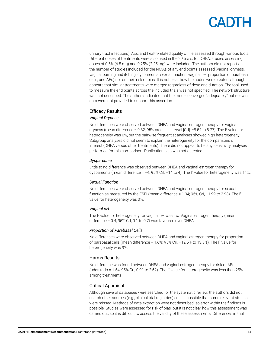## **ANTH**

urinary tract infections), AEs, and health-related quality of life assessed through various tools. Different doses of treatments were also used in the 29 trials; for DHEA, studies assessing doses of 0.5% (6.5 mg) and 0.25% (2.25 mg) were included. The authors did not report on the number of studies included for the NMAs of any end points assessed (vaginal dryness, vaginal burning and itching, dyspareunia, sexual function, vaginal pH, proportion of parabasal cells, and AEs) nor on their risk of bias. It is not clear how the nodes were created, although it appears that similar treatments were merged regardless of dose and duration. The tool used to measure the end points across the included trials was not specified. The network structure was not described. The authors indicated that the model converged "adequately" but relevant data were not provided to support this assertion.

#### Efficacy Results

#### *Vaginal Dryness*

No differences were observed between DHEA and vaginal estrogen therapy for vaginal dryness (mean difference = 0.32; 95% credible interval [CrI],  $-8.54$  to 8.77). The I<sup>2</sup> value for heterogeneity was 0%, but the pairwise frequentist analyses showed high heterogeneity. Subgroup analyses did not seem to explain the heterogeneity for the comparisons of interest (DHEA versus other treatments). There did not appear to be any sensitivity analyses performed for this comparison. Publication bias was not detected.

#### *Dyspareunia*

Little to no difference was observed between DHEA and vaginal estrogen therapy for dyspareunia (mean difference = −4; 95% CrI, −14 to 4). The I<sup>2</sup> value for heterogeneity was 11%.

#### *Sexual Function*

No differences were observed between DHEA and vaginal estrogen therapy for sexual function as measured by the FSFI (mean difference = 1.04; 95% CrI, −1.99 to 3.93). The I<sup>2</sup> value for heterogeneity was 0%.

#### *Vaginal pH*

The <sup>p</sup> value for heterogeneity for vaginal pH was 4%. Vaginal estrogen therapy (mean difference = 0.4; 95% CrI, 0.1 to 0.7) was favoured over DHEA.

#### *Proportion of Parabasal Cells*

No differences were observed between DHEA and vaginal estrogen therapy for proportion of parabasal cells (mean difference = 1.6%; 95% CrI, −12.5% to 13.8%). The I<sup>2</sup> value for heterogeneity was 9%.

#### Harms Results

No difference was found between DHEA and vaginal estrogen therapy for risk of AEs (odds ratio = 1.54; 95% CrI, 0.91 to 2.62). The  $I<sup>2</sup>$  value for heterogeneity was less than 25% among treatments.

#### Critical Appraisal

Although several databases were searched for the systematic review, the authors did not search other sources (e.g., clinical trial registries) so it is possible that some relevant studies were missed. Methods of data extraction were not described, so error within the findings is possible. Studies were assessed for risk of bias, but it is not clear how this assessment was carried out, so it is difficult to assess the validity of these assessments. Differences in trial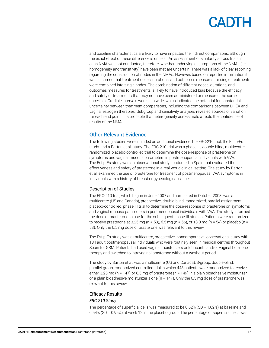and baseline characteristics are likely to have impacted the indirect comparisons, although the exact effect of these difference is unclear. An assessment of similarity across trials in each NMA was not conducted; therefore, whether underlying assumptions of the NMAs (i.e., homogeneity and transitivity) have been met are uncertain. There was a lack of clear reporting regarding the construction of nodes in the NMAs. However, based on reported information it was assumed that treatment doses, durations, and outcomes measures for single treatments were combined into single nodes. The combination of different doses, durations, and outcomes measures for treatments is likely to have introduced bias because the efficacy and safety of treatments that may not have been administered or measured the same is uncertain. Credible intervals were also wide, which indicates the potential for substantial uncertainty between treatment comparisons, including the comparisons between DHEA and vaginal estrogen therapies. Subgroup and sensitivity analyses revealed sources of variation for each end point. It is probable that heterogeneity across trials affects the confidence of results of the NMA.

#### Other Relevant Evidence

The following studies were included as additional evidence: the ERC-210 trial, the Estip-Es study, and a Barton et al. study. The ERC-210 trial was a phase III, double-blind, multicentre, randomized, placebo-controlled trial to determine the dose-response of prasterone on symptoms and vaginal mucosa parameters in postmenopausal individuals with VVA. The Estip-Es study was an observational study conducted in Spain that evaluated the effectiveness and safety of prasterone in a real-world clinical setting. The study by Barton et al. examined the use of prasterone for treatment of postmenopausal VVA symptoms in individuals with a history of breast or gynecological cancer.

#### Description of Studies

The ERC-210 trial, which began in June 2007 and completed in October 2008, was a multicentre (US and Canada), prospective, double-blind, randomized, parallel-assignment, placebo-controlled, phase III trial to determine the dose-response of prasterone on symptoms and vaginal mucosa parameters in postmenopausal individuals with VVA. The study informed the dose of prasterone to use for the subsequent phase III studies. Patients were randomized to receive prasterone at 3.25 mg ( $n = 53$ ), 6.5 mg ( $n = 56$ ), or 13.0 mg ( $n = 54$ ) or placebo ( $n =$ 53). Only the 6.5 mg dose of prasterone was relevant to this review.

The Estip-Es study was a multicentre, prospective, noncomparative, observational study with 184 adult postmenopausal individuals who were routinely seen in medical centres throughout Spain for GSM. Patients had used vaginal moisturizers or lubricants and/or vaginal hormone therapy and switched to intravaginal prasterone without a washout period.

The study by Barton et al. was a multicentre (US and Canada), 3-group, double-blind, parallel-group, randomized controlled trial in which 443 patients were randomized to receive either 3.25 mg (n = 147) or 6.5 mg of prasterone (n = 149) in a plain bioadhesive moisturizer or a plain bioadhesive moisturizer alone ( $n = 147$ ). Only the 6.5 mg dose of prasterone was relevant to this review.

#### Efficacy Results

#### *ERC-210 Study*

The percentage of superficial cells was measured to be 0.62% (SD = 1.02%) at baseline and 0.54% (SD = 0.95%) at week 12 in the placebo group. The percentage of superficial cells was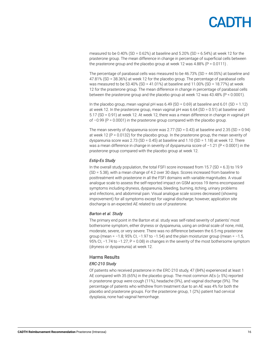measured to be  $0.40\%$  (SD =  $0.62\%$ ) at baseline and  $5.20\%$  (SD =  $6.54\%$ ) at week 12 for the prasterone group. The mean difference in change in percentage of superficial cells between the prasterone group and the placebo group at week 12 was  $4.88\%$  (P = 0.0111).

The percentage of parabasal cells was measured to be 46.73% (SD = 44.05%) at baseline and 47.81% (SD = 38.36%) at week 12 for the placebo group. The percentage of parabasal cells was measured to be 53.40% (SD = 41.01%) at baseline and 11.00% (SD = 18.77%) at week 12 for the prasterone group. The mean difference in change in percentage of parabasal cells between the prasterone group and the placebo group at week 12 was 43.48% (P < 0.0001).

In the placebo group, mean vaginal  $pH$  was 6.49 (SD = 0.69) at baseline and 6.01 (SD = 1.12) at week 12. In the prasterone group, mean vaginal pH was 6.64 (SD = 0.51) at baseline and 5.17 (SD = 0.91) at week 12. At week 12, there was a mean difference in change in vaginal pH of  $-0.99$  (P = 0.0001) in the prasterone group compared with the placebo group.

The mean severity of dyspareunia score was  $2.77$  (SD = 0.43) at baseline and  $2.35$  (SD = 0.94) at week 12 ( $P = 0.0132$ ) for the placebo group. In the prasterone group, the mean severity of dyspareunia score was  $2.73$  (SD = 0.45) at baseline and  $1.10$  (SD = 1.18) at week 12. There was a mean difference in change in severity of dyspareunia score of –1.21 (P < 0.0001) in the prasterone group compared with the placebo group at week 12.

#### *Estip-Es Study*

In the overall study population, the total FSFI score increased from  $15.7$  (SD = 6.3) to 19.9 (SD = 5.38), with a mean change of 4.2 over 30 days. Scores increased from baseline to posttreatment with prasterone in all the FSFI domains with variable magnitudes. A visual analogue scale to assess the self-reported impact on GSM across 19 items encompassed symptoms including dryness, dyspareunia, bleeding, burning, itching, urinary problems and infections, and abdominal pain. Visual analogue scale scores decreased (showing improvement) for all symptoms except for vaginal discharge; however, application site discharge is an expected AE related to use of prasterone.

#### *Barton et al. Study*

The primary end point in the Barton et al. study was self-rated severity of patients' most bothersome symptom, either dryness or dyspareunia, using an ordinal scale of none, mild, moderate, severe, or very severe. There was no difference between the 6.5 mg prasterone group (mean = −1.8; 95% CI, −1.97 to −1.54) and the plain moisturizer group (mean = -1.5, 95% CI, −1.74 to −1.27; P = 0.08) in changes in the severity of the most bothersome symptom (dryness or dyspareunia) at week 12.

#### Harms Results

#### *ERC-210 Study*

Of patients who received prasterone in the ERC-210 study, 47 (84%) experienced at least 1 AE compared with 35 (65%) in the placebo group. The most common AEs ( $\geq$  5%) reported in prasterone group were cough (11%), headache (9%), and vaginal discharge (9%). The percentage of patients who withdrew from treatment due to an AE was 4% for both the placebo and prasterone groups. For the prasterone group, 1 (2%) patient had cervical dysplasia; none had vaginal hemorrhage.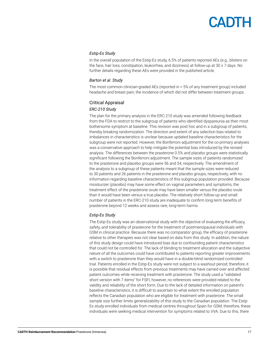#### *Estip-Es Study*

In the overall population of the Estip-Es study, 6.5% of patients reported AEs (e.g., blisters on the face, hair loss, constipation, leukorrhea, and dizziness) at follow-up at  $30 \pm 7$  days. No further details regarding these AEs were provided in the published article.

#### *Barton et al. Study*

The most common clinician-graded AEs (reported in > 5% of any treatment group) included headache and breast pain, the incidence of which did not differ between treatment groups.

#### Critical Appraisal

#### *ERC-210 Study*

The plan for the primary analysis in the ERC-210 study was amended following feedback from the FDA to restrict to the subgroup of patients who identified dyspareunia as their most bothersome symptom at baseline. This revision was post hoc and in a subgroup of patients, thereby breaking randomization. The direction and extent of any selection bias related to imbalances in characteristics is unclear because updated baseline characteristics for the subgroup were not reported. However, the Bonferroni adjustment for the co-primary analyses was a conservative approach to help mitigate the potential bias introduced by the revised analysis. The differences between the prasterone 0.5% and placebo groups were statistically significant following the Bonferroni adjustment. The sample sizes of patients randomized to the prasterone and placebo groups were 56 and 54, respectively. The amendment of the analysis to a subgroup of these patients meant that the sample sizes were reduced to 30 patients and 26 patients in the prasterone and placebo groups, respectively, with no information regarding baseline characteristics of this subgroup population provided. Because moisturizer (placebo) may have some effect on vaginal parameters and symptoms, the treatment effect of the prasterone ovule may have been smaller versus the placebo ovule than it would have been versus a true placebo. The relatively short follow-up and small number of patients in the ERC-210 study are inadequate to confirm long-term benefits of prasterone beyond 12 weeks and assess rare, long-term harms.

#### *Estip-Es Study*

The Estip-Es study was an observational study with the objective of evaluating the efficacy, safety, and tolerability of prasterone for the treatment of postmenopausal individuals with GSM in clinical practice. Because there was no comparator group, the efficacy of prasterone relative to other therapies was not clear based on data from this study. In addition, the nature of this study design could have introduced bias due to confounding patient characteristics that could not be controlled for. The lack of blinding to treatment allocation and the subjective nature of all the outcomes could have contributed to patients reporting greater improvements with a switch to prasterone than they would have in a double-blind randomized controlled trial. Patients enrolled in the Estip-Es study were not subject to a washout period; therefore, it is possible that residual effects from previous treatments may have carried over and affected patient outcomes while receiving treatment with prasterone. The study used a "validated short version with 7 items" for FSFI; however, no references were provided related to the validity and reliability of the short form. Due to the lack of detailed information on patient's baseline characteristics, it is difficult to ascertain to what extent the enrolled population reflects the Canadian population who are eligible for treatment with prasterone. The small sample size further limits generalizability of this study to the Canadian population. The Estip-Es study enrolled individuals from medical centres throughout Spain for GSM; therefore, these individuals were seeking medical intervention for symptoms related to VVA. Due to this, there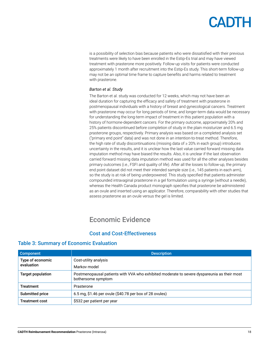is a possibility of selection bias because patients who were dissatisfied with their previous treatments were likely to have been enrolled in the Estip-Es trial and may have viewed treatment with prasterone more positively. Follow-up visits for patients were conducted approximately 1 month after recruitment into the Estip-Es study. This short-term follow-up may not be an optimal time frame to capture benefits and harms related to treatment with prasterone.

#### *Barton et al. Study*

The Barton et al. study was conducted for 12 weeks, which may not have been an ideal duration for capturing the efficacy and safety of treatment with prasterone in postmenopausal individuals with a history of breast and gynecological cancers. Treatment with prasterone may occur for long periods of time, and longer-term data would be necessary for understanding the long-term impact of treatment in this patient population with a history of hormone-dependent cancers. For the primary outcome, approximately 20% and 25% patients discontinued before completion of study in the plain moisturizer and 6.5 mg prasterone groups, respectively. Primary analysis was based on a completed analysis set ("primary end point" data) and was not done in an intention-to-treat method. Therefore, the high rate of study discontinuations (missing data of ≥ 20% in each group) introduces uncertainty in the results, and it is unclear how the last value carried forward missing data imputation method may have biased the results. Also, it is unclear if the last observation carried forward missing data imputation method was used for all the other analyses besides primary outcomes (i.e., FSFI and quality of life). After all the losses to follow-up, the primary end point dataset did not meet their intended sample size (i.e., 145 patients in each arm), so the study is at risk of being underpowered. This study specified that patients administer compounded intravaginal prasterone in a gel formulation using a syringe (without a needle), whereas the Health Canada product monograph specifies that prasterone be administered as an ovule and inserted using an applicator. Therefore, comparability with other studies that assess prasterone as an ovule versus the gel is limited.

### Economic Evidence

#### Cost and Cost-Effectiveness

| Component                | <b>Description</b>                                                                                                |
|--------------------------|-------------------------------------------------------------------------------------------------------------------|
| Type of economic         | Cost-utility analysis                                                                                             |
| evaluation               | Markov model                                                                                                      |
| <b>Target population</b> | Postmenopausal patients with VVA who exhibited moderate to severe dyspareunia as their most<br>bothersome symptom |
| <b>Treatment</b>         | Prasterone                                                                                                        |
| Submitted price          | 6.5 mg, \$1.46 per ovule (\$40.78 per box of 28 ovules)                                                           |
| <b>Treatment cost</b>    | \$532 per patient per year                                                                                        |

#### Table 3: Summary of Economic Evaluation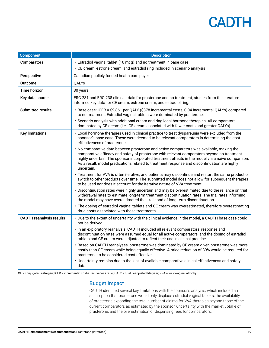| <b>Component</b>                | <b>Description</b>                                                                                                                                                                                                                                                                                                                                                                                          |
|---------------------------------|-------------------------------------------------------------------------------------------------------------------------------------------------------------------------------------------------------------------------------------------------------------------------------------------------------------------------------------------------------------------------------------------------------------|
| Comparators                     | · Estradiol vaginal tablet (10 mcg) and no treatment in base case                                                                                                                                                                                                                                                                                                                                           |
|                                 | • CE cream, estrone cream, and estradiol ring included in scenario analysis                                                                                                                                                                                                                                                                                                                                 |
| Perspective                     | Canadian publicly funded health care payer                                                                                                                                                                                                                                                                                                                                                                  |
| Outcome                         | <b>OALYs</b>                                                                                                                                                                                                                                                                                                                                                                                                |
| Time horizon                    | 30 years                                                                                                                                                                                                                                                                                                                                                                                                    |
| Key data source                 | ERC-231 and ERC-238 clinical trials for prasterone and no treatment, studies from the literature<br>informed key data for CE cream, estrone cream, and estradiol ring.                                                                                                                                                                                                                                      |
| <b>Submitted results</b>        | · Base case: ICER = \$9,861 per QALY (\$378 incremental costs, 0.04 incremental QALYs) compared<br>to no treatment. Estradiol vaginal tablets were dominated by prasterone.                                                                                                                                                                                                                                 |
|                                 | · Scenario analysis with additional cream and ring local hormone therapies: All comparators<br>dominated by CE cream (i.e., CE cream associated with fewer costs and greater QALYs).                                                                                                                                                                                                                        |
| <b>Key limitations</b>          | • Local hormone therapies used in clinical practice to treat dyspareunia were excluded from the<br>sponsor's base case. These were deemed to be relevant comparators in determining the cost-<br>effectiveness of prasterone.                                                                                                                                                                               |
|                                 | · No comparative data between prasterone and active comparators was available, making the<br>comparative efficacy and safety of prasterone with relevant comparators beyond no treatment<br>highly uncertain. The sponsor incorporated treatment effects in the model via a naive comparison.<br>As a result, model predications related to treatment response and discontinuation are highly<br>uncertain. |
|                                 | • Treatment for VVA is often iterative, and patients may discontinue and restart the same product or<br>switch to other products over time. The submitted model does not allow for subsequent therapies<br>to be used nor does it account for the iterative nature of VVA treatment.                                                                                                                        |
|                                 | · Discontinuation rates were highly uncertain and may be overestimated due to the reliance on trial<br>withdrawal rates to estimate long-term treatment discontinuation rates. The trial rates informing<br>the model may have overestimated the likelihood of long-term discontinuation.                                                                                                                   |
|                                 | · The dosing of estradiol vaginal tablets and CE cream was overestimated, therefore overestimating<br>drug costs associated with these treatments.                                                                                                                                                                                                                                                          |
| <b>CADTH reanalysis results</b> | • Due to the extent of uncertainty with the clinical evidence in the model, a CADTH base case could<br>not be derived.                                                                                                                                                                                                                                                                                      |
|                                 | · In an exploratory reanalysis, CADTH included all relevant comparators, response and<br>discontinuation rates were assumed equal for all active comparators, and the dosing of estradiol<br>tablets and CE cream were adjusted to reflect their use in clinical practice.                                                                                                                                  |
|                                 | · Based on CADTH reanalyses, prasterone was dominated by CE cream given prasterone was more<br>costly than CE cream while being equally effective. A price reduction of 89% would be required for<br>prasterone to be considered cost-effective.                                                                                                                                                            |
|                                 | • Uncertainty remains due to the lack of available comparative clinical effectiveness and safety<br>data.                                                                                                                                                                                                                                                                                                   |

CE = conjugated estrogen; ICER = incremental cost-effectiveness ratio; QALY = quality-adjusted life-year; VVA = vulvovaginal atrophy.

#### Budget Impact

CADTH identified several key limitations with the sponsor's analysis, which included an assumption that prasterone would only displace estradiol vaginal tablets, the availability of prasterone expanding the total number of claims for VVA therapies beyond those of the current comparators as estimated by the sponsor, uncertainty with the market uptake of prasterone, and the overestimation of dispensing fees for comparators.